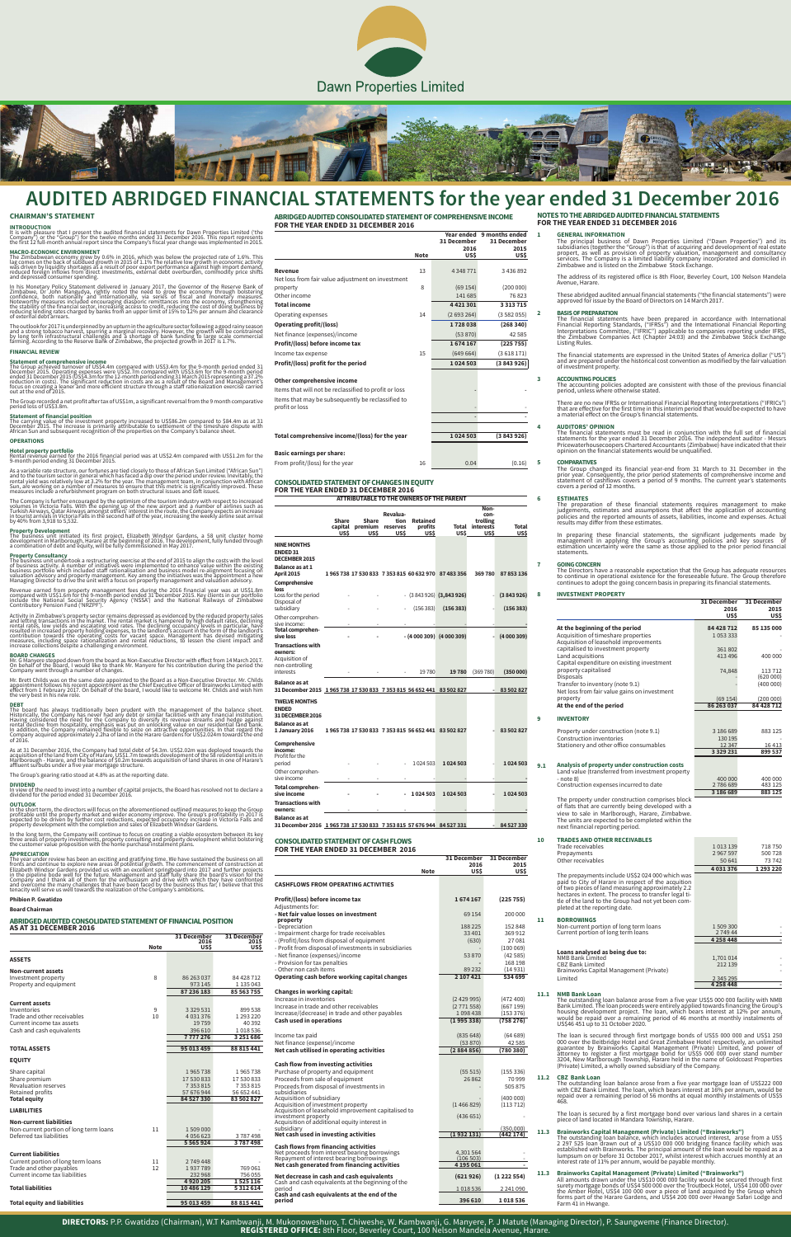



# **AUDITED ABRIDGED FINANCIAL STATEMENTS for the year ended 31 December 2016**

## **CHAIRMAN'S STATEMENT**

I**NTRODUCTION**<br>It is with pleasure that I present the audited financial statements for Dawn Properties Limited ('the<br>Company") or the "Group") for the twelve months ended 31 December 2016. This report represents<br>the first

MACRO-ECONOMIC ENVIRONMENT<br>The Zimbabwean economy grew by 0.6% in 2016, which was below the projected rate of 1.6%. This<br>lag comes on the back of subdued growth in 2015 of 1.1% The relative low growth in economic activity<br>

In his Monetary Policy Statement delivered in January 2017, the Governor of the Reserve Bank of<br>Zimbabwe, Dr John Mangudya, rightly noted the need to grow the economy through bolstering<br>confidence, both nationally and inte

The outlook for 2017 is underpinned by an upturn in the agriculture sector following a good rainy season<br>and a strong tobacco harvest, spurring a marginal recovery. However, the growth will be constrained<br>by long term infr

**Statement of financial position**<br>The carrying value of the investment property increased to US\$86.2m compared to \$84.4m as at 31<br>December 2015. The increase is primarily attributable to settlement of the timeshare dispute **OPERATIONS**

**Hotel property portfolio**<br>Rental revenue earned for the 2016 financial period was at US\$2.4m compared with US\$1.2m for the<br>9-month period ending 31 December 2015.

As a variable rate structure, our fortunes are tied closely to those of African Sun Limited ("African Sun")<br>and to the tourism sector in general which has faced a dip over the period under review. Inevitably, the<br>rental yi

The Company is further encouraged by the optimism of the tourism industry with respect to increased<br>Volumes in Victoria Falls. With the opening up of the new airport and a number of airlines such as<br>Turkish Airways, Qatar

**Property Development**<br>The business unit initiated its first project, Elizabeth Windsor Gardens, a 58 unit cluster home<br>developmentin Marlborough, Harare at the beginning of 2016. The development, fully funded through<br>a co

**Property Consultancy**<br>The business unit undertook a restructuring exercise at the end of 2015 to align the costs with the level<br>of business activity. A number of initiatives were implemented to enhance value within the ex

Revenue earned from property management fees during the 2016 financial year was at US\$1.8m<br>compared with US\$1.6m for the 9-month period ended 31 December 2015. Key clients in our portfolio<br>include the National Social Secur

Activity in Zimbabwe's property sector remains depressed as evidenced by the reduced property sales<br>and letting transactions in the market. The rental market is hampered by high default rates, declining<br>rental rates, low y

**BOARD CHANGES**<br>Mr. G Manyere stepped down from the board as Non-Executive Director with effect from 14 March 2017.<br>On behalf of the Board, I would like to thank Mr. Manyere for his contribution during the period the<br>Compa

Mr. Brett Childs was on the same date appointed to the Board as a Non-Executive Director. Mr. Childs<br>appointment follows his recent appointment as the Chief Executive Officer of Brainworks Limited with<br>effect from 1 Februa

**DEBT**<br>The board has always traditionally been prudent with the management of the balance sheet.<br>Historically, the Company has never had any debt or similar facilities with any financial institution.<br>Having considered the

As at 31 December 2016, the Company had total debt of \$4.3m. US\$2.02m was deployed towards the<br>acquisition of the land from City of Harare, US\$1.7m towards development of the 58 residential units in<br>Marlborough - Harare, a

#### **FINANCIAL REVIEW**

**Statement of comprehensive income<br>The Group achieved turnover of US\$4.4m compared with US\$3.4m for the 9-month period ended 31**<br>December 2015. Operating expenses were US\$2.7m compared with US\$3.6m for the 9-month period<br>e

The Group recorded a net profit after tax of US\$1m, a significant reversal from the 9 month comparative period loss of US\$3.8m.

**1 GENERAL INFORMATION**<br>The principal business of Dawn Properties Limited ("Dawn Properties") and its<br>subsidiaries (together the "Group") is that of acquiring and development of real estate<br>propert, as well as provision of Zimbabwe and is listed on the Zimbabwe Stock Exchange.

The financial statements have been prepared in accordance with International<br>Financial Reporting Standards, ("IFRSs") and the International Financial Reporting<br>Interpretations Committee, ("IFRIC") applicable to companies r the Zimbabwe Companies Act (Chapter 24:03) and the Zimbabwe Stock Exchange Listing Rules.

The Group changed its financial year-end from 31 March to 31 December in the<br>prior year. Consequently, the prior period statements of comprehensive income and<br>statement of cashflows covers a period of 9 months. The current covers a period of 12 months.

**6 ESTIMATES**<br>The preparation of these financial statements requires management to make<br>judgements, estimates and assumptions that affect the application of accounting<br>policies and the reported amounts of assets, liabili results may differ from these estimates.

In preparing these financial statements, the significant judgements made by<br>management in applying the Group's accounting policies and key sources of<br>estimation uncertainty were the same as those applied to the prior perio statements.

**7 GOING CONCERN**<br>The Directors have a reasonable expectation that the Group has adequate resources to continue in operational existence for the foreseeable future. The Group therefore continues to adopt the going concern basis in preparing its financial statements.

The Group's gearing ratio stood at 4.8% as at the reporting date.

**DIVIDEND** In view of the need to invest into a number of capital projects, the Board has resolved not to declare a dividend for the period ended 31 December 2016.

**OUTLOOK**<br>In the short term, the directors will focus on the aforementioned outlined measures to keep the Group<br>profitable until the property market and wider economy improve. The Group's profitability in 2017 is<br>expected

In the long term, the Company will continue to focus on creating a viable ecosystem between its key<br>three areas of property investments, property consulting and property development whilst bolstering<br>the customer value pro

**APPRECIATION**<br>The year under review has been an exciting and gratifying time. We have sustained the business on all<br>fronts and continue to explore new areas of potential growth. The commencement of construction at<br>Elizabe

#### **Phibion P. Gwatidzo**

### **Board Chairman**

# **NOTES TO THE ABRIDGED AUDITED FINANCIAL STATEMENTS FOR THE YEAR ENDED 31 DECEMBER 2016**

The address of its registered office is 8th Floor, Beverley Court, 100 Nelson Mandela Avenue, Harare.

These abridged audited annual financial statements ("the financial statements") were approved for issue by the Board of Directors on 14 March 2017.

### **2 BASIS OF PREPARATION**

 $\overline{1}$ 

The financial statements are expressed in the United States of America dollar ("US") and are prepared under the historical cost convention as modified by the fair valuation of investment property.

**3 ACCOUNTING POLICIES**<br>The accounting policies adopted are consistent with those of the previous financial<br>period, unless where otherwise stated.

The loan is secured through first mortgage bonds of US\$5 000 000 and US\$1 250<br>000 over the Beitbridge Hotel and Great Zimbabwe Hotel respectively, an unlimited<br>guarantee by Brainworks Capital Management (Private) Limited, (Private) Limited, a wholly owned subsidiary of the Company.

There are no new IFRSs or International Financial Reporting Interpretations ("IFRICs") that are effective for the first time in this interim period that would be expected to have a material effect on the Group's financial statements.

**4 AUDITORS' OPINION**<br>The financial statements must be read in conjunction with the full set of financial<br>statements for the year ended 31 December 2016. The independent auditor - Messrs<br>Pricewaterhousecoopers Chartered

### **5 COMPARATIVES**

### **ABRIDGED AUDITED CONSOLIDATED STATEMENT OF FINANCIAL POSITION AS AT 31 DECEMBER 2016**

|                                        | <b>Note</b> | 31 December<br>2016<br>US\$ | 31 December<br>2015<br>US\$ |
|----------------------------------------|-------------|-----------------------------|-----------------------------|
| <b>ASSETS</b>                          |             |                             |                             |
| <b>Non-current assets</b>              |             |                             |                             |
| Investment property                    | 8           | 86 263 037                  | 84 428 712                  |
| Property and equipment                 |             | 973 145                     | 1 1 3 0 4 3                 |
|                                        |             | 87 236 183                  | 85 563 755                  |
| <b>Current assets</b>                  |             |                             |                             |
| Inventories                            | 9           | 3 3 2 5 5 3 1               | 899 538                     |
| Trade and other receivables            | 10          | 4 0 3 1 3 7 6               | 1 293 220                   |
| Current income tax assets              |             | 19759                       | 40 3 92                     |
| Cash and cash equivalents              |             | 396 610                     | 1018536                     |
|                                        |             | 7777276                     | 3 251 686                   |
| <b>TOTAL ASSETS</b>                    |             | 95 013 459                  | 88 815 441                  |
| <b>EQUITY</b>                          |             |                             |                             |
| Share capital                          |             | 1965738                     | 1965738                     |
| Share premium                          |             | 17 530 833                  | 17 530 833                  |
| <b>Revaluation reserves</b>            |             | 7 3 5 3 8 1 5               | 7 3 5 3 8 1 5               |
| Retained profits                       |             | 57 676 944                  | 56 652 441                  |
| <b>Total equity</b>                    |             | 84 527 330                  | 83 502 827                  |
| <b>LIABILITIES</b>                     |             |                             |                             |
| <b>Non-current liabilities</b>         |             |                             |                             |
| Non-current portion of long term loans | 11          | 1509000                     |                             |
| Deferred tax liabilities               |             | 4 0 5 6 6 2 3               | 3787498                     |
|                                        |             | 5 5 6 5 9 2 4               | 3787498                     |
| <b>Current liabilities</b>             |             |                             |                             |
| Current portion of long term loans     | 11          | 2749448                     |                             |
| Trade and other payables               | 12          | 1937789                     | 769 061                     |
| Current income tax liabilities         |             | 232 968                     | 756 055                     |
|                                        |             | 4920205                     | 1525116                     |
| <b>Total liabilities</b>               |             | 10 486 129                  | 5 3 1 2 6 1 4               |
|                                        |             |                             |                             |
| <b>Total equity and liabilities</b>    |             | 95 013 459                  | 88 815 441                  |

**ABRIDGED AUDITED CONSOLIDATED STATEMENT OF COMPREHENSIVE INCOME FOR THE YEAR ENDED 31 DECEMBER 2016**

|                                                                     |             | Year ended<br>31 December<br>2016 | 9 months ended<br>31 December<br>2015 |  |
|---------------------------------------------------------------------|-------------|-----------------------------------|---------------------------------------|--|
|                                                                     | <b>Note</b> | US\$                              | US\$                                  |  |
| Revenue                                                             | 13          | 4 3 4 8 7 7 1                     | 3 4 3 6 8 9 2                         |  |
| Net loss from fair value adjustment on investment                   |             |                                   |                                       |  |
| property<br>Other income                                            | 8           | (69154)<br>141 685                | (200000)<br>76823                     |  |
| <b>Total income</b>                                                 |             | 4421301                           | 3 3 1 3 7 1 5                         |  |
| Operating expenses                                                  | 14          | (2693264)                         | (3582055)                             |  |
| <b>Operating profit/(loss)</b>                                      |             | 1728038                           | (268340)                              |  |
| Net finance (expenses)/income                                       |             | (53 870)                          | 42 5 8 5                              |  |
| Profit/(loss) before income tax                                     |             | 1674167                           | (225755)                              |  |
| Income tax expense                                                  | 15          | (649664)                          | (3618171)                             |  |
| Profit/(loss) profit for the period                                 |             | 1024503                           | (3843926)                             |  |
| Other comprehensive income                                          |             |                                   |                                       |  |
| Items that will not be reclassified to profit or loss               |             |                                   |                                       |  |
| Items that may be subsequently be reclassified to<br>profit or loss |             |                                   |                                       |  |
|                                                                     |             |                                   |                                       |  |
|                                                                     |             |                                   |                                       |  |
| Total comprehensive income/(loss) for the year                      |             | 1024503                           | (3843926)                             |  |
| <b>Basic earnings per share:</b>                                    |             |                                   |                                       |  |
| From profit/(loss) for the year                                     | 16          | 0.04                              | (0.16)                                |  |

#### **CONSOLIDATED STATEMENT OF CHANGES IN EQUITY FOR THE YEAR ENDED 31 DECEMBER 2016**

|                                                                                                           |               |                                                  |                          |                             | ATTRIBUTABLE TO THE OWNERS OF THE PARENT            |                                               |                      |
|-----------------------------------------------------------------------------------------------------------|---------------|--------------------------------------------------|--------------------------|-----------------------------|-----------------------------------------------------|-----------------------------------------------|----------------------|
|                                                                                                           | Share<br>US\$ | <b>Share</b><br>capital premium reserves<br>US\$ | Revalua-<br>tion<br>US\$ | Retained<br>profits<br>US\$ | Total<br>US\$                                       | Non-<br>con-<br>trolling<br>interests<br>US\$ | <b>Total</b><br>US\$ |
| <b>NINE MONTHS</b><br><b>ENDED 31</b><br><b>DECEMBER 2015</b>                                             |               |                                                  |                          |                             |                                                     |                                               |                      |
| Balance as at 1<br><b>April 2015</b>                                                                      |               |                                                  |                          |                             | 1965 738 17 530 833 7 353 815 60 632 970 87 483 356 | 369780                                        | 87 853 136           |
| Comprehensive                                                                                             |               |                                                  |                          |                             |                                                     |                                               |                      |
| loss<br>Loss for the period<br>Disposal of                                                                |               |                                                  |                          |                             | $-$ (3 843 926) (3,843 926)                         |                                               | (3843926)            |
| subsidiary                                                                                                |               |                                                  |                          | (156383)                    | (156383)                                            |                                               | (156383)             |
| Other comprehen-<br>sive income:                                                                          |               |                                                  |                          |                             |                                                     |                                               |                      |
| <b>Total comprehen-</b><br>sive loss                                                                      |               |                                                  |                          |                             | $-(4000309)$ $(4000309)$                            |                                               | (4000309)            |
| <b>Transactions with</b><br>owners:<br>Acquisition of<br>non-controlling<br>interests                     |               |                                                  |                          | 19780                       | 19780                                               | (369780)                                      | (350000)             |
| <b>Balance as at</b>                                                                                      |               |                                                  |                          |                             |                                                     |                                               |                      |
| 31 December 2015 1965 738 17 530 833 7 353 815 56 652 441 83 502 827                                      |               |                                                  |                          |                             |                                                     |                                               | 83 502 827           |
| <b>TWELVE MONTHS</b><br><b>ENDED</b><br><b>31 DECEMBER 2016</b><br><b>Balance as at</b><br>1 January 2016 |               |                                                  |                          |                             | 1965 738 17 530 833 7 353 815 56 652 441 83 502 827 |                                               | 83 502 827           |
| Comprehensive<br>income:<br>Profit for the<br>period                                                      |               |                                                  | $\sim$                   | 1 0 24 5 0 3                | 1024503                                             |                                               | 1024503              |

| <b>Balance as at</b><br>31 December 2016 1965 738 17 530 833 7 353 815 57 676 944 84 527 331 |   |            |         | 84 527 330 |
|----------------------------------------------------------------------------------------------|---|------------|---------|------------|
| <b>Transactions with</b><br>owners:                                                          |   |            |         |            |
| Total comprehen-<br>sive income                                                              | - | $-1024503$ | 1024503 | 1024503    |
| Other comprehen-<br>sive income                                                              |   |            |         |            |

### **CONSOLIDATED STATEMENT OF CASH FLOWS FOR THE YEAR ENDED 31 DECEMBER 2016**

|                                                                                                | Note | 31 December<br>2016<br>USS | 31 December<br>2015<br>USS |
|------------------------------------------------------------------------------------------------|------|----------------------------|----------------------------|
| CASHFLOWS FROM OPERATING ACTIVITIES                                                            |      |                            |                            |
| Profit/(loss) before income tax                                                                |      | 1674167                    | (225 755)                  |
| Adjustments for:                                                                               |      |                            |                            |
| - Net fair value losses on investment                                                          |      | 69 154                     | 200 000                    |
| property                                                                                       |      |                            |                            |
| - Depreciation<br>- Impairment charge for trade receivables                                    |      | 188 225<br>33 401          | 152 848<br>369 912         |
| - (Profit)/loss from disposal of equipment                                                     |      | (630)                      | 27 081                     |
| - Profit from disposal of investments in subsidiaries                                          |      |                            | (100069)                   |
| - Net finance (expenses)/income                                                                |      | 53870                      | (42585)                    |
| - Provision for tax penalties                                                                  |      |                            | 168 198                    |
| - Other non cash items                                                                         |      | 89 232                     | (14931)                    |
| Operating cash before working capital changes                                                  |      | 2 107 421                  | 534 699                    |
|                                                                                                |      |                            |                            |
| Changes in working capital:                                                                    |      |                            |                            |
| Increase in inventories                                                                        |      | (2429995)                  | (472, 400)                 |
| Increase in trade and other receivables                                                        |      | (2771558)                  | (667199)                   |
| Increase/(decrease) in trade and other payables                                                |      | 1098438                    | (153 376)                  |
| Cash used in operations                                                                        |      | (1995338)                  | (758276)                   |
| Income tax paid                                                                                |      | (835648)                   | (64 689)                   |
| Net finance (expense)/income                                                                   |      | (53 870)                   | 42 5 8 5                   |
| Net cash utilised in operating activities                                                      |      | (2884856)                  | (780380)                   |
|                                                                                                |      |                            |                            |
| Cash flow from investing activities                                                            |      |                            |                            |
| Purchase of property and equipment                                                             |      | (55515)                    | (155 336)                  |
| Proceeds from sale of equipment                                                                |      | 26862                      | 70 999                     |
| Proceeds from disposal of investments in<br>subsidiaries                                       |      |                            | 505875                     |
| Acquisition of subsidiary                                                                      |      |                            | (400000)                   |
| Acquisition of investment property                                                             |      | (1466829)                  | (113 712)                  |
| Acquisition of leasehold improvement capitalised to                                            |      |                            |                            |
| investment property<br>Acquisition of additional equity interest in                            |      | (436651)                   |                            |
| subsidiary                                                                                     |      |                            | (350,000)                  |
| Net cash used in investing activities                                                          |      | (1932131)                  | (442 174)                  |
| <b>Cash flows from financing activities</b>                                                    |      |                            |                            |
| Net proceeds from interest bearing borrowings                                                  |      | 4,301 564                  |                            |
| Repayment of interest bearing borrowings                                                       |      | (106503)                   |                            |
| Net cash generated from financing activities                                                   |      | 4 195 061                  |                            |
| Net decrease in cash and cash equivalents<br>Cash and cash equivalents at the beginning of the |      | (621926)                   | (1222554)                  |
| period                                                                                         |      | 1018536                    | 2 241 090                  |
| Cash and cash equivalents at the end of the<br>period                                          |      | 396 610                    | 1018536                    |
|                                                                                                |      |                            |                            |

| 8 | <b>INVESTMENT PROPERTY</b> |  |
|---|----------------------------|--|
|---|----------------------------|--|

|                                                                              | 31 December<br>2016<br>US\$ | 31 December<br>2015<br>US\$ |
|------------------------------------------------------------------------------|-----------------------------|-----------------------------|
| At the beginning of the period                                               | 84 428 712                  | 85 135 000                  |
| Acquisition of timeshare properties<br>Acquisition of leasehold improvements | 1053333                     |                             |
| capitalised to investment property                                           | 361802                      |                             |
| Land acquisitions                                                            | 413496                      | 400 000                     |
| Capital expenditure on existing investment                                   |                             |                             |
| property capitalised                                                         | 74,848                      | 113 712                     |
| <b>Disposals</b>                                                             |                             | (620 000)                   |
| Transfer to inventory (note 9.1)                                             |                             | (400000)                    |
| Net loss from fair value gains on investment                                 |                             |                             |
| property                                                                     | (69154)                     | (200 000)                   |
| At the end of the period                                                     | 86 263 037                  | 84 428 712                  |
|                                                                              |                             |                             |
| <b>INVENTORY</b>                                                             |                             |                             |
| Property under construction (note 9.1)                                       | 3 186 689                   | 883 125                     |
| Construction inventories                                                     | 130 195                     |                             |
| Stationery and other office consumables                                      | 12 3 4 7                    | 16413                       |
|                                                                              | 3 3 2 2 2 3 1               | 899 537                     |

| Analysis of property under construction costs<br>Land value (transferred from investment property |           |         |
|---------------------------------------------------------------------------------------------------|-----------|---------|
| - note 8)                                                                                         | 400 000   | 400 000 |
| Construction expenses incurred to date                                                            | 2786689   | 483 125 |
|                                                                                                   | 3 186 689 | 883 125 |

The property under construction comprises block of flats that are currently being developed with a view to sale in Marlborough, Harare, Zimbabwe. The units are expected to be completed within the next financial reporting period.

| <b>TRADES AND OTHER RECEIVABLES</b>                                                                                                                                                                                                                                                                        |                   |           |
|------------------------------------------------------------------------------------------------------------------------------------------------------------------------------------------------------------------------------------------------------------------------------------------------------------|-------------------|-----------|
| Trade receivables                                                                                                                                                                                                                                                                                          | 1013139           | 718 750   |
| Prepayments                                                                                                                                                                                                                                                                                                | 2967597           | 500 728   |
| Other receivables                                                                                                                                                                                                                                                                                          | 50 641            | 73 742    |
|                                                                                                                                                                                                                                                                                                            | 4 031 376         | 1 293 220 |
| The prepayments include US\$2 024 000 which was<br>paid to City of Harare in respect of the acquition<br>of two pieces of land measuring approximately 2.2<br>hectares in extent. The process to transfer legal ti-<br>tle of the land to the Group had not yet been com-<br>pleted at the reporting date. |                   |           |
| <b>BORROWINGS</b>                                                                                                                                                                                                                                                                                          |                   |           |
| Non-current portion of long term loans<br>Current portion of long term loans                                                                                                                                                                                                                               | 1509300<br>274944 |           |
|                                                                                                                                                                                                                                                                                                            | 4 2 5 8 4 4 8     |           |
| Loans analysed as being due to:                                                                                                                                                                                                                                                                            |                   |           |
| <b>NMB Bank Limited</b>                                                                                                                                                                                                                                                                                    | 1,701 014         |           |
| <b>CBZ Bank Limited</b><br>Brainworks Capital Management (Private)                                                                                                                                                                                                                                         | 212 139           |           |
| Limited                                                                                                                                                                                                                                                                                                    | 2 345 295         |           |
|                                                                                                                                                                                                                                                                                                            | 4 258 448         |           |
|                                                                                                                                                                                                                                                                                                            |                   |           |

**9**

**9.1**

**10**

#### **11.1 NMB Bank Loan**

The pre paid to of two<br>hectar

#### **11.2 CBZ Bank Loan**

The outstanding loan balance arose from a five year mortgage loan of US\$222 000<br>with CBZ Bank Limited. The loan, which bears interest at 16% per annum, would be<br>repaid over a remaining period of 56 months at equal monthly

The loan is secured by a first mortgage bond over various land shares in a certain piece of land located in Mandara Township, Harare.

### **11.3 Brainworks Capital Management (Private) Limited ("Brainworks")**

The outstanding loan balance, which includes accrued interest, arose from a US\$ 2 297 525 loan drawn out of a US\$10 000 000 bridging finance facility which was established with Brainworks. The principal amount of the loan

11.3 Brainworks Capital Management (Private) Limited ("Brainworks")<br>All amounts drawn under the US\$10 000 000 facility would be secured through first<br>surety mortgage bonds of US\$4 500 000 over the Troutbeck Hotel, US\$4 100

**DIRECTORS:** P.P. Gwatidzo (Chairman), W.T Kambwanji, M. Mukonoweshuro, T. Chiweshe, W. Kambwanji, G. Manyere, P. J Matute (Managing Director), P. Saungweme (Finance Director). **REGISTERED OFFICE:** 8th Floor, Beverley Court, 100 Nelson Mandela Avenue, Harare.

**11**

The outstanding loan balance arose from a five year US\$5 000 000 facility with NMB<br>Bank Limited. The loan proceeds were entirely applied towards financing the Group's<br>housing development project. The loan, which bears inte